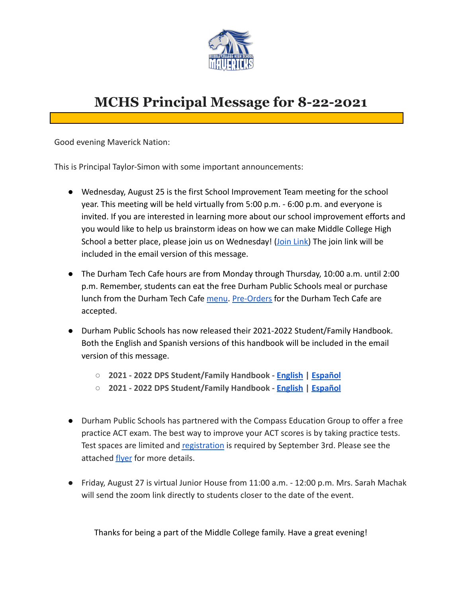

## **MCHS Principal Message for 8-22-2021**

Good evening Maverick Nation:

This is Principal Taylor-Simon with some important announcements:

- Wednesday, August 25 is the first School Improvement Team meeting for the school year. This meeting will be held virtually from 5:00 p.m. - 6:00 p.m. and everyone is invited. If you are interested in learning more about our school improvement efforts and you would like to help us brainstorm ideas on how we can make Middle College High School a better place, please join us on Wednesday! [\(Join Link\)](https://dpsnc.zoom.us/j/96493656848) The join link will be included in the email version of this message.
- The Durham Tech Cafe hours are from Monday through Thursday, 10:00 a.m. until 2:00 p.m. Remember, students can eat the free Durham Public Schools meal or purchase lunch from the Durham Tech Cafe [menu](https://drive.google.com/file/d/1kKTZGaQcVCUM4BMU0fJlO6M-xhNmzoAs/view?usp=sharing). [Pre-Orders](https://www.toasttab.com/durham-tech-cafe) for the Durham Tech Cafe are accepted.
- Durham Public Schools has now released their 2021-2022 Student/Family Handbook. Both the English and Spanish versions of this handbook will be included in the email version of this message.
	- **○ 2021 2022 DPS Student/Family Handbook - [English](https://drive.google.com/file/d/1bmVnz_8TCRB_x0JsSPQ025QIeqan_3qi/view?usp=sharing) | [Español](https://drive.google.com/file/d/1bSG71M3Ves0BVVCP88sPnqPbP8hEa5y0/view?usp=sharing)**
	- **○ 2021 2022 DPS Student/Family Handbook - [English](https://drive.google.com/file/d/1-r3e6kc40G6DTcIyWXgmsnnCPDh5-CAH/view?usp=sharing) | [Español](https://drive.google.com/file/d/1RiFVcUY06pfvO8EWez2dnmy7-gizNgcS/view?usp=sharing)**
- Durham Public Schools has partnered with the Compass Education Group to offer a free practice ACT exam. The best way to improve your ACT scores is by taking practice tests. Test spaces are limited and [registration](http://bit.ly/DPSACT) is required by September 3rd. Please see the attached *[flyer](https://drive.google.com/file/d/17EdZe6uvXk7JRD52By-Pu21qeK0vdhJn/view)* for more details.
- Friday, August 27 is virtual Junior House from 11:00 a.m. 12:00 p.m. Mrs. Sarah Machak will send the zoom link directly to students closer to the date of the event.

Thanks for being a part of the Middle College family. Have a great evening!